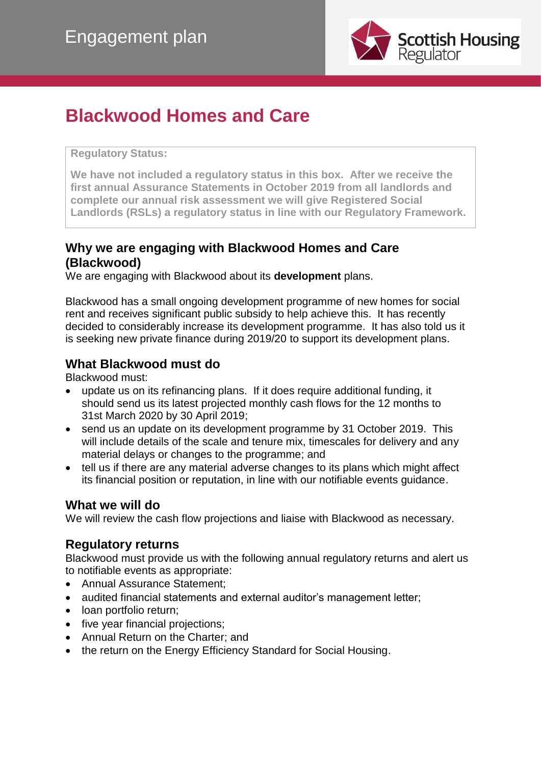

# **Blackwood Homes and Care**

**Regulatory Status:** 

**We have not included a regulatory status in this box. After we receive the first annual Assurance Statements in October 2019 from all landlords and complete our annual risk assessment we will give Registered Social Landlords (RSLs) a regulatory status in line with our Regulatory Framework.**

## **Why we are engaging with Blackwood Homes and Care (Blackwood)**

We are engaging with Blackwood about its **development** plans.

Blackwood has a small ongoing development programme of new homes for social rent and receives significant public subsidy to help achieve this. It has recently decided to considerably increase its development programme. It has also told us it is seeking new private finance during 2019/20 to support its development plans.

#### **What Blackwood must do**

Blackwood must:

- update us on its refinancing plans. If it does require additional funding, it should send us its latest projected monthly cash flows for the 12 months to 31st March 2020 by 30 April 2019;
- send us an update on its development programme by 31 October 2019. This will include details of the scale and tenure mix, timescales for delivery and any material delays or changes to the programme; and
- tell us if there are any material adverse changes to its plans which might affect its financial position or reputation, in line with our notifiable events guidance.

#### **What we will do**

We will review the cash flow projections and liaise with Blackwood as necessary.

#### **Regulatory returns**

Blackwood must provide us with the following annual regulatory returns and alert us to notifiable events as appropriate:

- Annual Assurance Statement;
- audited financial statements and external auditor's management letter;
- loan portfolio return;
- five year financial projections:
- Annual Return on the Charter; and
- the return on the Energy Efficiency Standard for Social Housing.